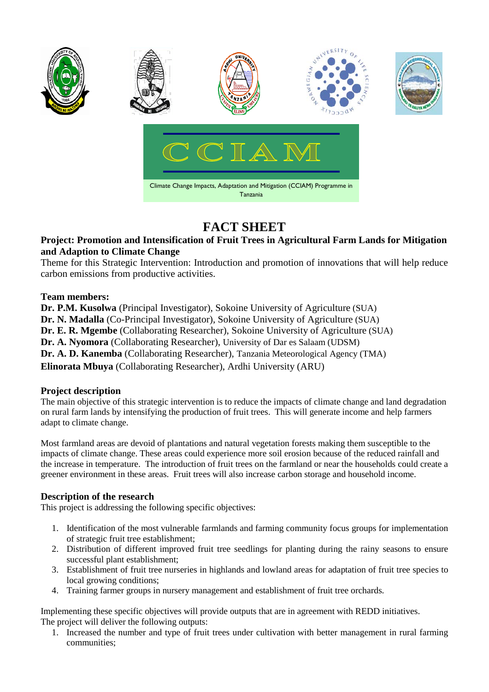

# **FACT SHEET**

### **Project: Promotion and Intensification of Fruit Trees in Agricultural Farm Lands for Mitigation and Adaption to Climate Change**

Theme for this Strategic Intervention: Introduction and promotion of innovations that will help reduce carbon emissions from productive activities.

### **Team members:**

**Dr. P.M. Kusolwa** (Principal Investigator), Sokoine University of Agriculture (SUA) **Dr. N. Madalla** (Co-Principal Investigator), Sokoine University of Agriculture (SUA) **Dr. E. R. Mgembe** (Collaborating Researcher), Sokoine University of Agriculture (SUA) **Dr. A. Nyomora** (Collaborating Researcher), University of Dar es Salaam (UDSM) **Dr. A. D. Kanemba** (Collaborating Researcher), Tanzania Meteorological Agency (TMA) **Elinorata Mbuya** (Collaborating Researcher), Ardhi University (ARU)

## **Project description**

The main objective of this strategic intervention is to reduce the impacts of climate change and land degradation on rural farm lands by intensifying the production of fruit trees. This will generate income and help farmers adapt to climate change.

Most farmland areas are devoid of plantations and natural vegetation forests making them susceptible to the impacts of climate change. These areas could experience more soil erosion because of the reduced rainfall and the increase in temperature. The introduction of fruit trees on the farmland or near the households could create a greener environment in these areas. Fruit trees will also increase carbon storage and household income.

#### **Description of the research**

This project is addressing the following specific objectives:

- 1. Identification of the most vulnerable farmlands and farming community focus groups for implementation of strategic fruit tree establishment;
- 2. Distribution of different improved fruit tree seedlings for planting during the rainy seasons to ensure successful plant establishment;
- 3. Establishment of fruit tree nurseries in highlands and lowland areas for adaptation of fruit tree species to local growing conditions;
- 4. Training farmer groups in nursery management and establishment of fruit tree orchards.

Implementing these specific objectives will provide outputs that are in agreement with REDD initiatives. The project will deliver the following outputs:

1. Increased the number and type of fruit trees under cultivation with better management in rural farming communities;